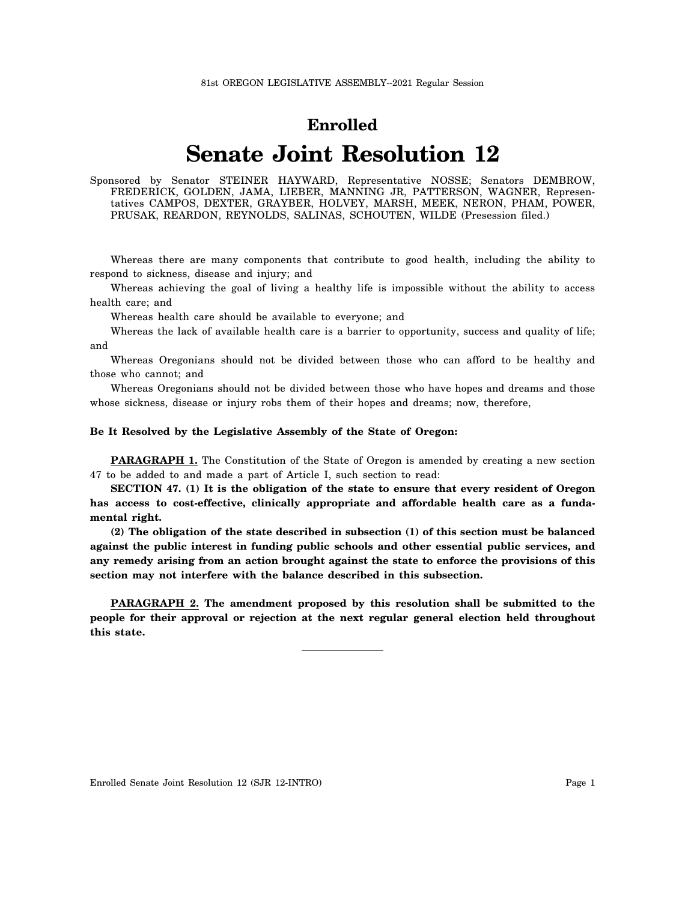## **Enrolled**

## **Senate Joint Resolution 12**

Sponsored by Senator STEINER HAYWARD, Representative NOSSE; Senators DEMBROW, FREDERICK, GOLDEN, JAMA, LIEBER, MANNING JR, PATTERSON, WAGNER, Representatives CAMPOS, DEXTER, GRAYBER, HOLVEY, MARSH, MEEK, NERON, PHAM, POWER, PRUSAK, REARDON, REYNOLDS, SALINAS, SCHOUTEN, WILDE (Presession filed.)

Whereas there are many components that contribute to good health, including the ability to respond to sickness, disease and injury; and

Whereas achieving the goal of living a healthy life is impossible without the ability to access health care; and

Whereas health care should be available to everyone; and

Whereas the lack of available health care is a barrier to opportunity, success and quality of life; and

Whereas Oregonians should not be divided between those who can afford to be healthy and those who cannot; and

Whereas Oregonians should not be divided between those who have hopes and dreams and those whose sickness, disease or injury robs them of their hopes and dreams; now, therefore,

## **Be It Resolved by the Legislative Assembly of the State of Oregon:**

**PARAGRAPH 1.** The Constitution of the State of Oregon is amended by creating a new section 47 to be added to and made a part of Article I, such section to read:

**SECTION 47. (1) It is the obligation of the state to ensure that every resident of Oregon has access to cost-effective, clinically appropriate and affordable health care as a fundamental right.**

**(2) The obligation of the state described in subsection (1) of this section must be balanced against the public interest in funding public schools and other essential public services, and any remedy arising from an action brought against the state to enforce the provisions of this section may not interfere with the balance described in this subsection.**

**PARAGRAPH 2. The amendment proposed by this resolution shall be submitted to the people for their approval or rejection at the next regular general election held throughout this state.**